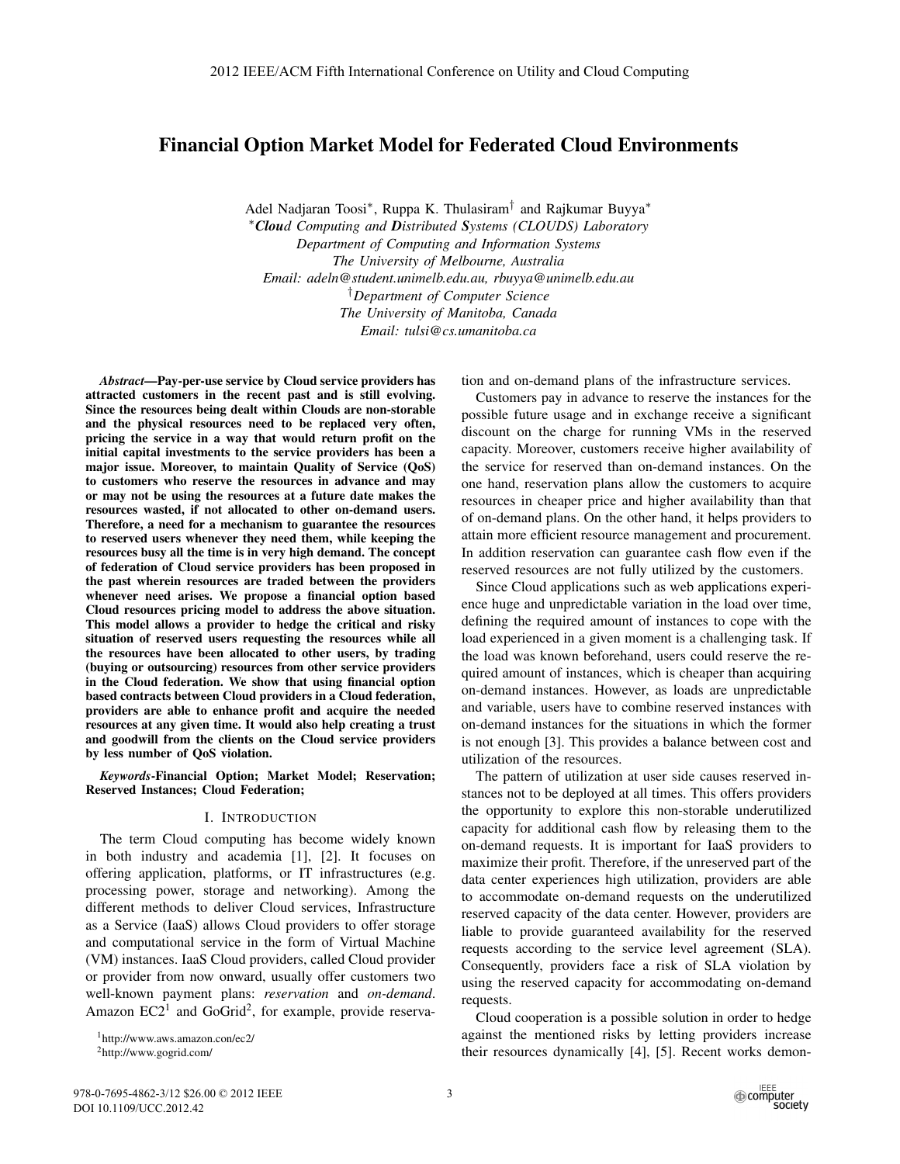# Financial Option Market Model for Federated Cloud Environments

Adel Nadjaran Toosi<sup>\*</sup>, Ruppa K. Thulasiram<sup>†</sup> and Rajkumar Buyya<sup>\*</sup>

<sup>∗</sup>*Cloud Computing and Distributed Systems (CLOUDS) Laboratory Department of Computing and Information Systems The University of Melbourne, Australia Email: adeln@student.unimelb.edu.au, rbuyya@unimelb.edu.au* †*Department of Computer Science The University of Manitoba, Canada Email: tulsi@cs.umanitoba.ca*

*Abstract*—Pay-per-use service by Cloud service providers has attracted customers in the recent past and is still evolving. Since the resources being dealt within Clouds are non-storable and the physical resources need to be replaced very often, pricing the service in a way that would return profit on the initial capital investments to the service providers has been a major issue. Moreover, to maintain Quality of Service (QoS) to customers who reserve the resources in advance and may or may not be using the resources at a future date makes the resources wasted, if not allocated to other on-demand users. Therefore, a need for a mechanism to guarantee the resources to reserved users whenever they need them, while keeping the resources busy all the time is in very high demand. The concept of federation of Cloud service providers has been proposed in the past wherein resources are traded between the providers whenever need arises. We propose a financial option based Cloud resources pricing model to address the above situation. This model allows a provider to hedge the critical and risky situation of reserved users requesting the resources while all the resources have been allocated to other users, by trading (buying or outsourcing) resources from other service providers in the Cloud federation. We show that using financial option based contracts between Cloud providers in a Cloud federation, providers are able to enhance profit and acquire the needed resources at any given time. It would also help creating a trust and goodwill from the clients on the Cloud service providers by less number of QoS violation.

*Keywords*-Financial Option; Market Model; Reservation; Reserved Instances; Cloud Federation;

## I. INTRODUCTION

The term Cloud computing has become widely known in both industry and academia [1], [2]. It focuses on offering application, platforms, or IT infrastructures (e.g. processing power, storage and networking). Among the different methods to deliver Cloud services, Infrastructure as a Service (IaaS) allows Cloud providers to offer storage and computational service in the form of Virtual Machine (VM) instances. IaaS Cloud providers, called Cloud provider or provider from now onward, usually offer customers two well-known payment plans: *reservation* and *on-demand*. Amazon  $EC2<sup>1</sup>$  and GoGrid<sup>2</sup>, for example, provide reservation and on-demand plans of the infrastructure services.

Customers pay in advance to reserve the instances for the possible future usage and in exchange receive a significant discount on the charge for running VMs in the reserved capacity. Moreover, customers receive higher availability of the service for reserved than on-demand instances. On the one hand, reservation plans allow the customers to acquire resources in cheaper price and higher availability than that of on-demand plans. On the other hand, it helps providers to attain more efficient resource management and procurement. In addition reservation can guarantee cash flow even if the reserved resources are not fully utilized by the customers.

Since Cloud applications such as web applications experience huge and unpredictable variation in the load over time, defining the required amount of instances to cope with the load experienced in a given moment is a challenging task. If the load was known beforehand, users could reserve the required amount of instances, which is cheaper than acquiring on-demand instances. However, as loads are unpredictable and variable, users have to combine reserved instances with on-demand instances for the situations in which the former is not enough [3]. This provides a balance between cost and utilization of the resources.

The pattern of utilization at user side causes reserved instances not to be deployed at all times. This offers providers the opportunity to explore this non-storable underutilized capacity for additional cash flow by releasing them to the on-demand requests. It is important for IaaS providers to maximize their profit. Therefore, if the unreserved part of the data center experiences high utilization, providers are able to accommodate on-demand requests on the underutilized reserved capacity of the data center. However, providers are liable to provide guaranteed availability for the reserved requests according to the service level agreement (SLA). Consequently, providers face a risk of SLA violation by using the reserved capacity for accommodating on-demand requests.

Cloud cooperation is a possible solution in order to hedge against the mentioned risks by letting providers increase their resources dynamically [4], [5]. Recent works demon-

<sup>1</sup>http://www.aws.amazon.con/ec2/ 2http://www.gogrid.com/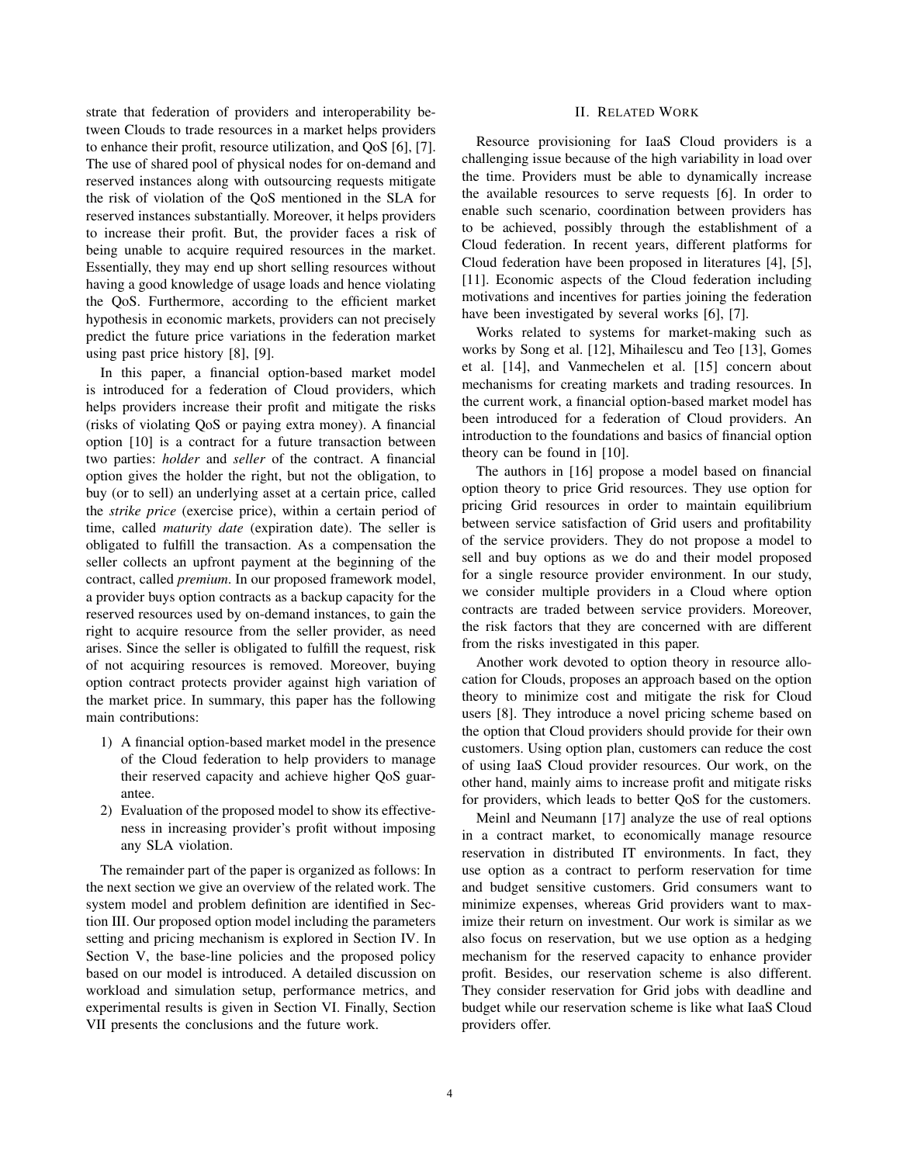strate that federation of providers and interoperability between Clouds to trade resources in a market helps providers to enhance their profit, resource utilization, and QoS [6], [7]. The use of shared pool of physical nodes for on-demand and reserved instances along with outsourcing requests mitigate the risk of violation of the QoS mentioned in the SLA for reserved instances substantially. Moreover, it helps providers to increase their profit. But, the provider faces a risk of being unable to acquire required resources in the market. Essentially, they may end up short selling resources without having a good knowledge of usage loads and hence violating the QoS. Furthermore, according to the efficient market hypothesis in economic markets, providers can not precisely predict the future price variations in the federation market using past price history [8], [9].

In this paper, a financial option-based market model is introduced for a federation of Cloud providers, which helps providers increase their profit and mitigate the risks (risks of violating QoS or paying extra money). A financial option [10] is a contract for a future transaction between two parties: *holder* and *seller* of the contract. A financial option gives the holder the right, but not the obligation, to buy (or to sell) an underlying asset at a certain price, called the *strike price* (exercise price), within a certain period of time, called *maturity date* (expiration date). The seller is obligated to fulfill the transaction. As a compensation the seller collects an upfront payment at the beginning of the contract, called *premium*. In our proposed framework model, a provider buys option contracts as a backup capacity for the reserved resources used by on-demand instances, to gain the right to acquire resource from the seller provider, as need arises. Since the seller is obligated to fulfill the request, risk of not acquiring resources is removed. Moreover, buying option contract protects provider against high variation of the market price. In summary, this paper has the following main contributions:

- 1) A financial option-based market model in the presence of the Cloud federation to help providers to manage their reserved capacity and achieve higher QoS guarantee.
- 2) Evaluation of the proposed model to show its effectiveness in increasing provider's profit without imposing any SLA violation.

The remainder part of the paper is organized as follows: In the next section we give an overview of the related work. The system model and problem definition are identified in Section III. Our proposed option model including the parameters setting and pricing mechanism is explored in Section IV. In Section V, the base-line policies and the proposed policy based on our model is introduced. A detailed discussion on workload and simulation setup, performance metrics, and experimental results is given in Section VI. Finally, Section VII presents the conclusions and the future work.

## II. RELATED WORK

Resource provisioning for IaaS Cloud providers is a challenging issue because of the high variability in load over the time. Providers must be able to dynamically increase the available resources to serve requests [6]. In order to enable such scenario, coordination between providers has to be achieved, possibly through the establishment of a Cloud federation. In recent years, different platforms for Cloud federation have been proposed in literatures [4], [5], [11]. Economic aspects of the Cloud federation including motivations and incentives for parties joining the federation have been investigated by several works [6], [7].

Works related to systems for market-making such as works by Song et al. [12], Mihailescu and Teo [13], Gomes et al. [14], and Vanmechelen et al. [15] concern about mechanisms for creating markets and trading resources. In the current work, a financial option-based market model has been introduced for a federation of Cloud providers. An introduction to the foundations and basics of financial option theory can be found in [10].

The authors in [16] propose a model based on financial option theory to price Grid resources. They use option for pricing Grid resources in order to maintain equilibrium between service satisfaction of Grid users and profitability of the service providers. They do not propose a model to sell and buy options as we do and their model proposed for a single resource provider environment. In our study, we consider multiple providers in a Cloud where option contracts are traded between service providers. Moreover, the risk factors that they are concerned with are different from the risks investigated in this paper.

Another work devoted to option theory in resource allocation for Clouds, proposes an approach based on the option theory to minimize cost and mitigate the risk for Cloud users [8]. They introduce a novel pricing scheme based on the option that Cloud providers should provide for their own customers. Using option plan, customers can reduce the cost of using IaaS Cloud provider resources. Our work, on the other hand, mainly aims to increase profit and mitigate risks for providers, which leads to better QoS for the customers.

Meinl and Neumann [17] analyze the use of real options in a contract market, to economically manage resource reservation in distributed IT environments. In fact, they use option as a contract to perform reservation for time and budget sensitive customers. Grid consumers want to minimize expenses, whereas Grid providers want to maximize their return on investment. Our work is similar as we also focus on reservation, but we use option as a hedging mechanism for the reserved capacity to enhance provider profit. Besides, our reservation scheme is also different. They consider reservation for Grid jobs with deadline and budget while our reservation scheme is like what IaaS Cloud providers offer.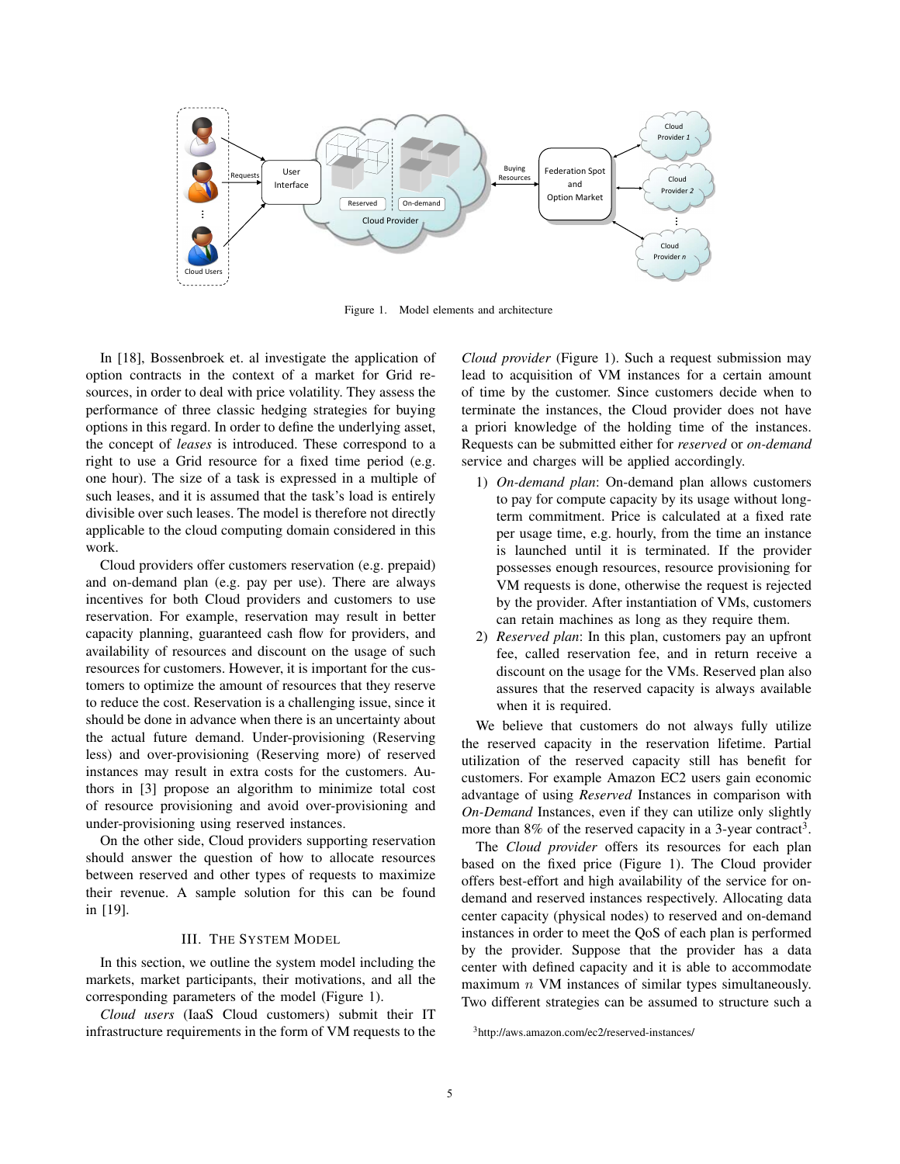

Figure 1. Model elements and architecture

In [18], Bossenbroek et. al investigate the application of option contracts in the context of a market for Grid resources, in order to deal with price volatility. They assess the performance of three classic hedging strategies for buying options in this regard. In order to define the underlying asset, the concept of *leases* is introduced. These correspond to a right to use a Grid resource for a fixed time period (e.g. one hour). The size of a task is expressed in a multiple of such leases, and it is assumed that the task's load is entirely divisible over such leases. The model is therefore not directly applicable to the cloud computing domain considered in this work.

Cloud providers offer customers reservation (e.g. prepaid) and on-demand plan (e.g. pay per use). There are always incentives for both Cloud providers and customers to use reservation. For example, reservation may result in better capacity planning, guaranteed cash flow for providers, and availability of resources and discount on the usage of such resources for customers. However, it is important for the customers to optimize the amount of resources that they reserve to reduce the cost. Reservation is a challenging issue, since it should be done in advance when there is an uncertainty about the actual future demand. Under-provisioning (Reserving less) and over-provisioning (Reserving more) of reserved instances may result in extra costs for the customers. Authors in [3] propose an algorithm to minimize total cost of resource provisioning and avoid over-provisioning and under-provisioning using reserved instances.

On the other side, Cloud providers supporting reservation should answer the question of how to allocate resources between reserved and other types of requests to maximize their revenue. A sample solution for this can be found in [19].

## III. THE SYSTEM MODEL

In this section, we outline the system model including the markets, market participants, their motivations, and all the corresponding parameters of the model (Figure 1).

*Cloud users* (IaaS Cloud customers) submit their IT infrastructure requirements in the form of VM requests to the *Cloud provider* (Figure 1). Such a request submission may lead to acquisition of VM instances for a certain amount of time by the customer. Since customers decide when to terminate the instances, the Cloud provider does not have a priori knowledge of the holding time of the instances. Requests can be submitted either for *reserved* or *on-demand* service and charges will be applied accordingly.

- 1) *On-demand plan*: On-demand plan allows customers to pay for compute capacity by its usage without longterm commitment. Price is calculated at a fixed rate per usage time, e.g. hourly, from the time an instance is launched until it is terminated. If the provider possesses enough resources, resource provisioning for VM requests is done, otherwise the request is rejected by the provider. After instantiation of VMs, customers can retain machines as long as they require them.
- 2) *Reserved plan*: In this plan, customers pay an upfront fee, called reservation fee, and in return receive a discount on the usage for the VMs. Reserved plan also assures that the reserved capacity is always available when it is required.

We believe that customers do not always fully utilize the reserved capacity in the reservation lifetime. Partial utilization of the reserved capacity still has benefit for customers. For example Amazon EC2 users gain economic advantage of using *Reserved* Instances in comparison with *On-Demand* Instances, even if they can utilize only slightly more than  $8\%$  of the reserved capacity in a 3-year contract<sup>3</sup>.

The *Cloud provider* offers its resources for each plan based on the fixed price (Figure 1). The Cloud provider offers best-effort and high availability of the service for ondemand and reserved instances respectively. Allocating data center capacity (physical nodes) to reserved and on-demand instances in order to meet the QoS of each plan is performed by the provider. Suppose that the provider has a data center with defined capacity and it is able to accommodate maximum  $n$  VM instances of similar types simultaneously. Two different strategies can be assumed to structure such a

<sup>3</sup>http://aws.amazon.com/ec2/reserved-instances/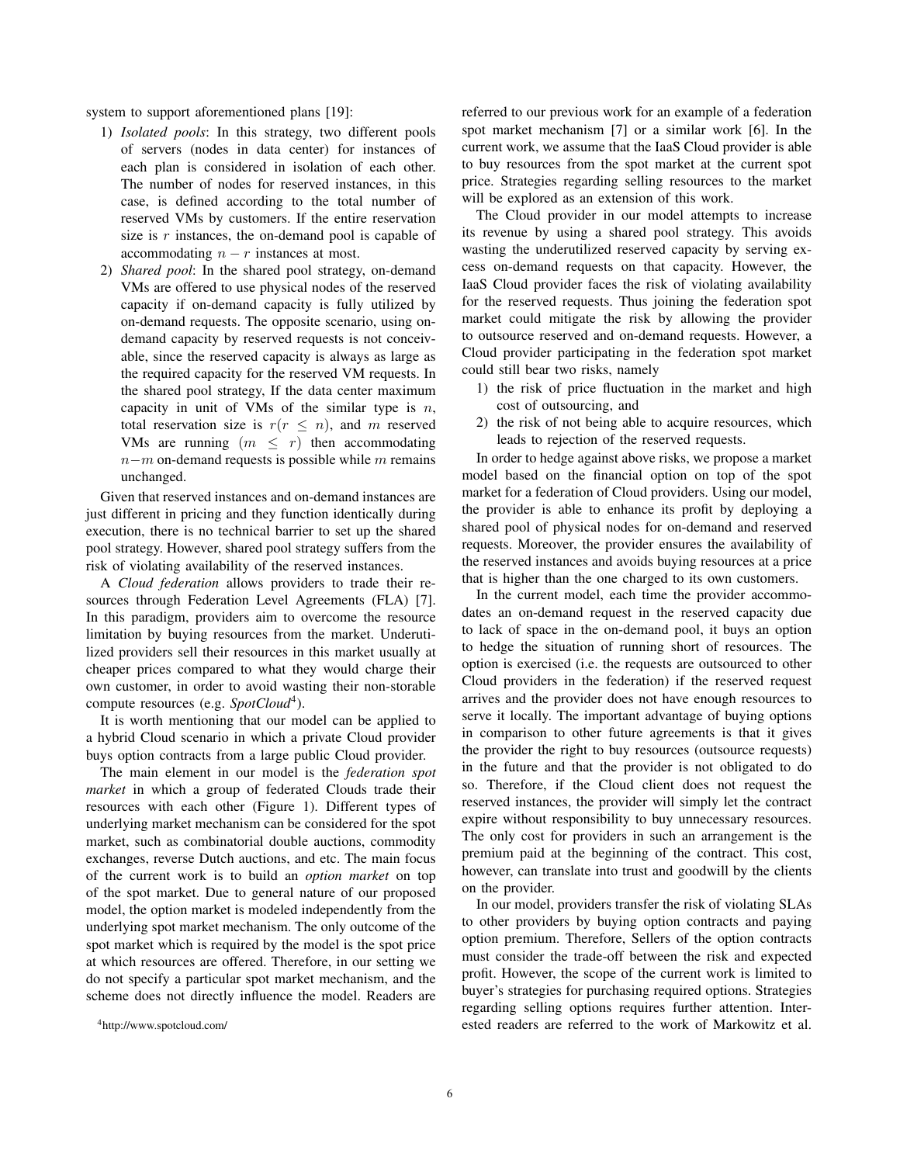system to support aforementioned plans [19]:

- 1) *Isolated pools*: In this strategy, two different pools of servers (nodes in data center) for instances of each plan is considered in isolation of each other. The number of nodes for reserved instances, in this case, is defined according to the total number of reserved VMs by customers. If the entire reservation size is  $r$  instances, the on-demand pool is capable of accommodating  $n - r$  instances at most.
- 2) *Shared pool*: In the shared pool strategy, on-demand VMs are offered to use physical nodes of the reserved capacity if on-demand capacity is fully utilized by on-demand requests. The opposite scenario, using ondemand capacity by reserved requests is not conceivable, since the reserved capacity is always as large as the required capacity for the reserved VM requests. In the shared pool strategy, If the data center maximum capacity in unit of VMs of the similar type is  $n$ , total reservation size is  $r(r \leq n)$ , and m reserved VMs are running  $(m \leq r)$  then accommodating  $n-m$  on-demand requests is possible while m remains unchanged.

Given that reserved instances and on-demand instances are just different in pricing and they function identically during execution, there is no technical barrier to set up the shared pool strategy. However, shared pool strategy suffers from the risk of violating availability of the reserved instances.

A *Cloud federation* allows providers to trade their resources through Federation Level Agreements (FLA) [7]. In this paradigm, providers aim to overcome the resource limitation by buying resources from the market. Underutilized providers sell their resources in this market usually at cheaper prices compared to what they would charge their own customer, in order to avoid wasting their non-storable compute resources (e.g. *SpotCloud<sup>4</sup>*).

It is worth mentioning that our model can be applied to a hybrid Cloud scenario in which a private Cloud provider buys option contracts from a large public Cloud provider.

The main element in our model is the *federation spot market* in which a group of federated Clouds trade their resources with each other (Figure 1). Different types of underlying market mechanism can be considered for the spot market, such as combinatorial double auctions, commodity exchanges, reverse Dutch auctions, and etc. The main focus of the current work is to build an *option market* on top of the spot market. Due to general nature of our proposed model, the option market is modeled independently from the underlying spot market mechanism. The only outcome of the spot market which is required by the model is the spot price at which resources are offered. Therefore, in our setting we do not specify a particular spot market mechanism, and the scheme does not directly influence the model. Readers are referred to our previous work for an example of a federation spot market mechanism [7] or a similar work [6]. In the current work, we assume that the IaaS Cloud provider is able to buy resources from the spot market at the current spot price. Strategies regarding selling resources to the market will be explored as an extension of this work.

The Cloud provider in our model attempts to increase its revenue by using a shared pool strategy. This avoids wasting the underutilized reserved capacity by serving excess on-demand requests on that capacity. However, the IaaS Cloud provider faces the risk of violating availability for the reserved requests. Thus joining the federation spot market could mitigate the risk by allowing the provider to outsource reserved and on-demand requests. However, a Cloud provider participating in the federation spot market could still bear two risks, namely

- 1) the risk of price fluctuation in the market and high cost of outsourcing, and
- 2) the risk of not being able to acquire resources, which leads to rejection of the reserved requests.

In order to hedge against above risks, we propose a market model based on the financial option on top of the spot market for a federation of Cloud providers. Using our model, the provider is able to enhance its profit by deploying a shared pool of physical nodes for on-demand and reserved requests. Moreover, the provider ensures the availability of the reserved instances and avoids buying resources at a price that is higher than the one charged to its own customers.

In the current model, each time the provider accommodates an on-demand request in the reserved capacity due to lack of space in the on-demand pool, it buys an option to hedge the situation of running short of resources. The option is exercised (i.e. the requests are outsourced to other Cloud providers in the federation) if the reserved request arrives and the provider does not have enough resources to serve it locally. The important advantage of buying options in comparison to other future agreements is that it gives the provider the right to buy resources (outsource requests) in the future and that the provider is not obligated to do so. Therefore, if the Cloud client does not request the reserved instances, the provider will simply let the contract expire without responsibility to buy unnecessary resources. The only cost for providers in such an arrangement is the premium paid at the beginning of the contract. This cost, however, can translate into trust and goodwill by the clients on the provider.

In our model, providers transfer the risk of violating SLAs to other providers by buying option contracts and paying option premium. Therefore, Sellers of the option contracts must consider the trade-off between the risk and expected profit. However, the scope of the current work is limited to buyer's strategies for purchasing required options. Strategies regarding selling options requires further attention. Interested readers are referred to the work of Markowitz et al.

<sup>4</sup>http://www.spotcloud.com/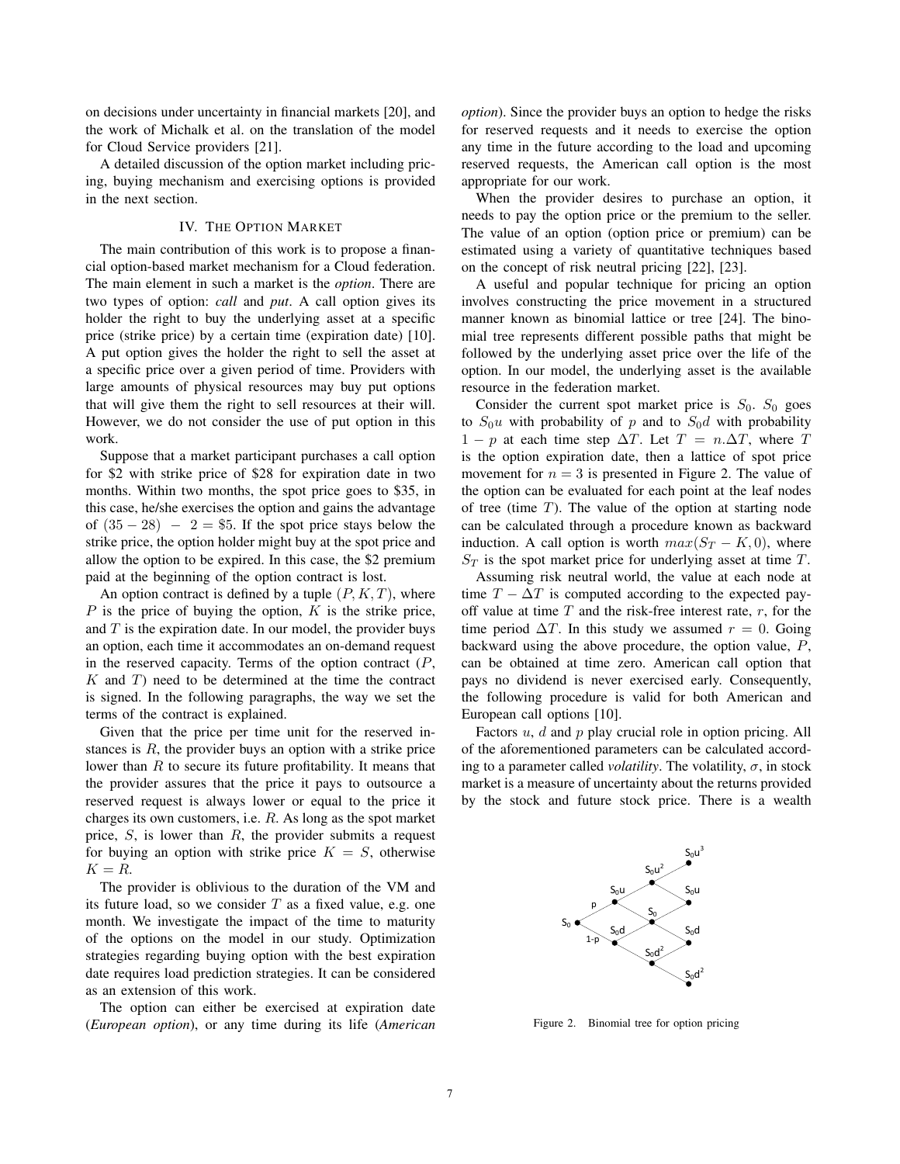on decisions under uncertainty in financial markets [20], and the work of Michalk et al. on the translation of the model for Cloud Service providers [21].

A detailed discussion of the option market including pricing, buying mechanism and exercising options is provided in the next section.

# IV. THE OPTION MARKET

The main contribution of this work is to propose a financial option-based market mechanism for a Cloud federation. The main element in such a market is the *option*. There are two types of option: *call* and *put*. A call option gives its holder the right to buy the underlying asset at a specific price (strike price) by a certain time (expiration date) [10]. A put option gives the holder the right to sell the asset at a specific price over a given period of time. Providers with large amounts of physical resources may buy put options that will give them the right to sell resources at their will. However, we do not consider the use of put option in this work.

Suppose that a market participant purchases a call option for \$2 with strike price of \$28 for expiration date in two months. Within two months, the spot price goes to \$35, in this case, he/she exercises the option and gains the advantage of  $(35 - 28) - 2 = $5$ . If the spot price stays below the strike price, the option holder might buy at the spot price and allow the option to be expired. In this case, the \$2 premium paid at the beginning of the option contract is lost.

An option contract is defined by a tuple  $(P, K, T)$ , where  $P$  is the price of buying the option,  $K$  is the strike price, and  $T$  is the expiration date. In our model, the provider buys an option, each time it accommodates an on-demand request in the reserved capacity. Terms of the option contract  $(P,$  $K$  and  $T$ ) need to be determined at the time the contract is signed. In the following paragraphs, the way we set the terms of the contract is explained.

Given that the price per time unit for the reserved instances is  $R$ , the provider buys an option with a strike price lower than  $R$  to secure its future profitability. It means that the provider assures that the price it pays to outsource a reserved request is always lower or equal to the price it charges its own customers, i.e. R. As long as the spot market price,  $S$ , is lower than  $R$ , the provider submits a request for buying an option with strike price  $K = S$ , otherwise  $K = R$ .

The provider is oblivious to the duration of the VM and its future load, so we consider  $T$  as a fixed value, e.g. one month. We investigate the impact of the time to maturity of the options on the model in our study. Optimization strategies regarding buying option with the best expiration date requires load prediction strategies. It can be considered as an extension of this work.

The option can either be exercised at expiration date (*European option*), or any time during its life (*American* *option*). Since the provider buys an option to hedge the risks for reserved requests and it needs to exercise the option any time in the future according to the load and upcoming reserved requests, the American call option is the most appropriate for our work.

When the provider desires to purchase an option, it needs to pay the option price or the premium to the seller. The value of an option (option price or premium) can be estimated using a variety of quantitative techniques based on the concept of risk neutral pricing [22], [23].

A useful and popular technique for pricing an option involves constructing the price movement in a structured manner known as binomial lattice or tree [24]. The binomial tree represents different possible paths that might be followed by the underlying asset price over the life of the option. In our model, the underlying asset is the available resource in the federation market.

Consider the current spot market price is  $S_0$ .  $S_0$  goes to  $S_0u$  with probability of p and to  $S_0d$  with probability  $1 - p$  at each time step  $\Delta T$ . Let  $T = n.\Delta T$ , where T is the option expiration date, then a lattice of spot price movement for  $n = 3$  is presented in Figure 2. The value of the option can be evaluated for each point at the leaf nodes of tree (time  $T$ ). The value of the option at starting node can be calculated through a procedure known as backward induction. A call option is worth  $max(S_T - K, 0)$ , where  $S_T$  is the spot market price for underlying asset at time T.

Assuming risk neutral world, the value at each node at time  $T - \Delta T$  is computed according to the expected payoff value at time  $T$  and the risk-free interest rate,  $r$ , for the time period  $\Delta T$ . In this study we assumed  $r = 0$ . Going backward using the above procedure, the option value,  $P$ , can be obtained at time zero. American call option that pays no dividend is never exercised early. Consequently, the following procedure is valid for both American and European call options [10].

Factors  $u, d$  and  $p$  play crucial role in option pricing. All of the aforementioned parameters can be calculated according to a parameter called *volatility*. The volatility,  $\sigma$ , in stock market is a measure of uncertainty about the returns provided by the stock and future stock price. There is a wealth



Figure 2. Binomial tree for option pricing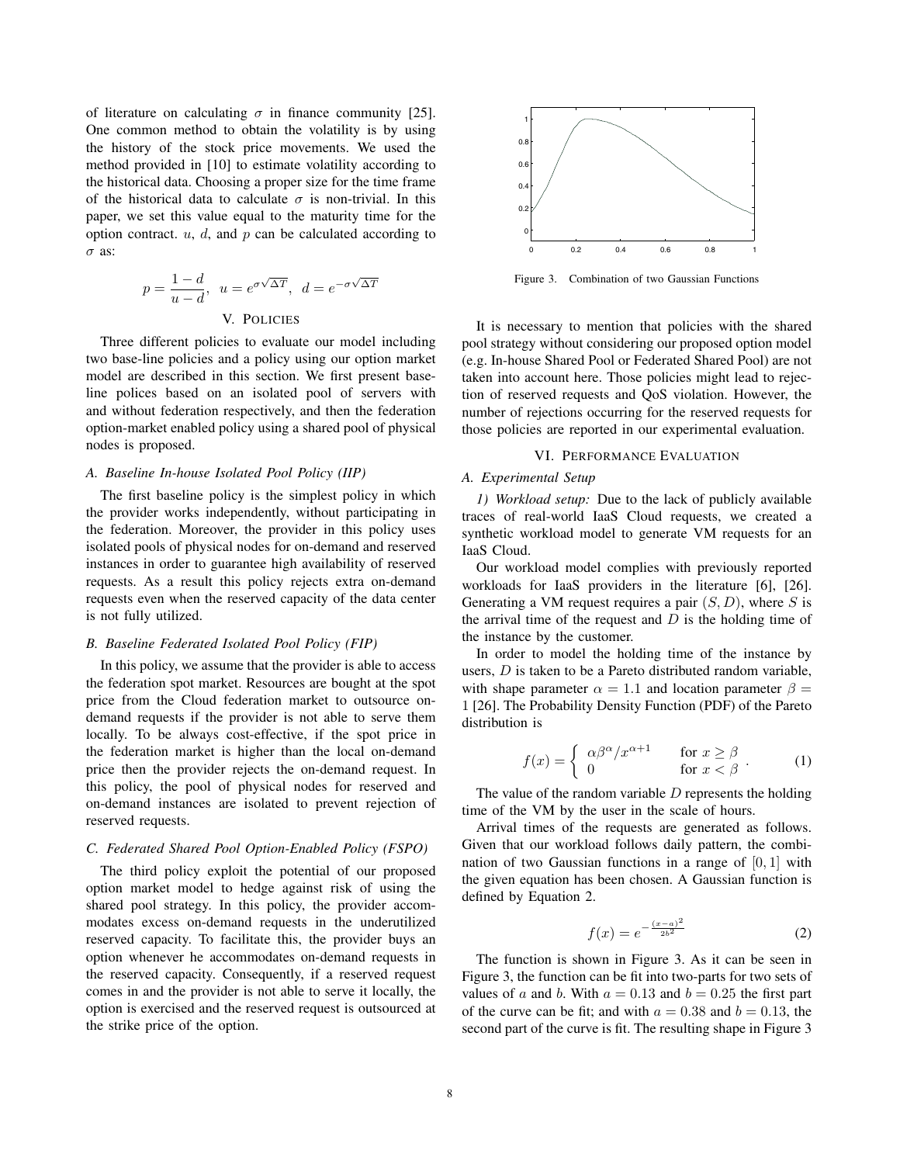of literature on calculating  $\sigma$  in finance community [25]. One common method to obtain the volatility is by using the history of the stock price movements. We used the method provided in [10] to estimate volatility according to the historical data. Choosing a proper size for the time frame of the historical data to calculate  $\sigma$  is non-trivial. In this paper, we set this value equal to the maturity time for the option contract.  $u$ ,  $d$ , and  $p$  can be calculated according to  $\sigma$  as:

$$
p = \frac{1 - d}{u - d}, \ u = e^{\sigma \sqrt{\Delta T}}, \ d = e^{-\sigma \sqrt{\Delta T}}
$$
  
V. POLICIES

Three different policies to evaluate our model including two base-line policies and a policy using our option market model are described in this section. We first present baseline polices based on an isolated pool of servers with and without federation respectively, and then the federation option-market enabled policy using a shared pool of physical nodes is proposed.

#### *A. Baseline In-house Isolated Pool Policy (IIP)*

The first baseline policy is the simplest policy in which the provider works independently, without participating in the federation. Moreover, the provider in this policy uses isolated pools of physical nodes for on-demand and reserved instances in order to guarantee high availability of reserved requests. As a result this policy rejects extra on-demand requests even when the reserved capacity of the data center is not fully utilized.

#### *B. Baseline Federated Isolated Pool Policy (FIP)*

In this policy, we assume that the provider is able to access the federation spot market. Resources are bought at the spot price from the Cloud federation market to outsource ondemand requests if the provider is not able to serve them locally. To be always cost-effective, if the spot price in the federation market is higher than the local on-demand price then the provider rejects the on-demand request. In this policy, the pool of physical nodes for reserved and on-demand instances are isolated to prevent rejection of reserved requests.

### *C. Federated Shared Pool Option-Enabled Policy (FSPO)*

The third policy exploit the potential of our proposed option market model to hedge against risk of using the shared pool strategy. In this policy, the provider accommodates excess on-demand requests in the underutilized reserved capacity. To facilitate this, the provider buys an option whenever he accommodates on-demand requests in the reserved capacity. Consequently, if a reserved request comes in and the provider is not able to serve it locally, the option is exercised and the reserved request is outsourced at the strike price of the option.



Figure 3. Combination of two Gaussian Functions

It is necessary to mention that policies with the shared pool strategy without considering our proposed option model (e.g. In-house Shared Pool or Federated Shared Pool) are not taken into account here. Those policies might lead to rejection of reserved requests and QoS violation. However, the number of rejections occurring for the reserved requests for those policies are reported in our experimental evaluation.

### VI. PERFORMANCE EVALUATION

# *A. Experimental Setup*

*1) Workload setup:* Due to the lack of publicly available traces of real-world IaaS Cloud requests, we created a synthetic workload model to generate VM requests for an IaaS Cloud.

Our workload model complies with previously reported workloads for IaaS providers in the literature [6], [26]. Generating a VM request requires a pair  $(S, D)$ , where S is the arrival time of the request and  $D$  is the holding time of the instance by the customer.

In order to model the holding time of the instance by users,  $D$  is taken to be a Pareto distributed random variable, with shape parameter  $\alpha = 1.1$  and location parameter  $\beta =$ 1 [26]. The Probability Density Function (PDF) of the Pareto distribution is

$$
f(x) = \begin{cases} \alpha \beta^{\alpha} / x^{\alpha + 1} & \text{for } x \ge \beta \\ 0 & \text{for } x < \beta \end{cases} .
$$
 (1)

The value of the random variable  $D$  represents the holding time of the VM by the user in the scale of hours.

Arrival times of the requests are generated as follows. Given that our workload follows daily pattern, the combination of two Gaussian functions in a range of  $[0, 1]$  with the given equation has been chosen. A Gaussian function is defined by Equation 2.

$$
f(x) = e^{-\frac{(x-a)^2}{2b^2}} \tag{2}
$$

The function is shown in Figure 3. As it can be seen in Figure 3, the function can be fit into two-parts for two sets of values of a and b. With  $a = 0.13$  and  $b = 0.25$  the first part of the curve can be fit; and with  $a = 0.38$  and  $b = 0.13$ , the second part of the curve is fit. The resulting shape in Figure 3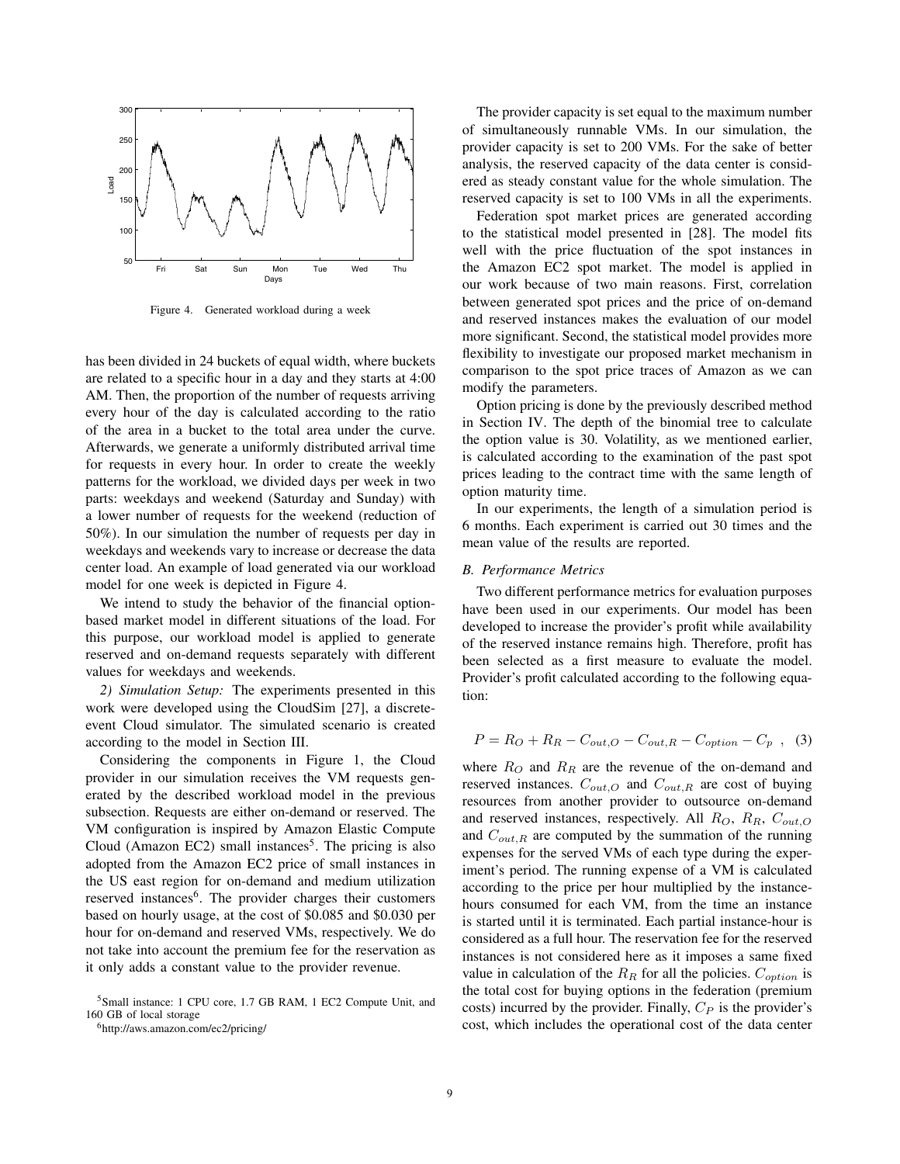

Figure 4. Generated workload during a week

has been divided in 24 buckets of equal width, where buckets are related to a specific hour in a day and they starts at 4:00 AM. Then, the proportion of the number of requests arriving every hour of the day is calculated according to the ratio of the area in a bucket to the total area under the curve. Afterwards, we generate a uniformly distributed arrival time for requests in every hour. In order to create the weekly patterns for the workload, we divided days per week in two parts: weekdays and weekend (Saturday and Sunday) with a lower number of requests for the weekend (reduction of 50%). In our simulation the number of requests per day in weekdays and weekends vary to increase or decrease the data center load. An example of load generated via our workload model for one week is depicted in Figure 4.

We intend to study the behavior of the financial optionbased market model in different situations of the load. For this purpose, our workload model is applied to generate reserved and on-demand requests separately with different values for weekdays and weekends.

*2) Simulation Setup:* The experiments presented in this work were developed using the CloudSim [27], a discreteevent Cloud simulator. The simulated scenario is created according to the model in Section III.

Considering the components in Figure 1, the Cloud provider in our simulation receives the VM requests generated by the described workload model in the previous subsection. Requests are either on-demand or reserved. The VM configuration is inspired by Amazon Elastic Compute Cloud (Amazon EC2) small instances<sup>5</sup>. The pricing is also adopted from the Amazon EC2 price of small instances in the US east region for on-demand and medium utilization reserved instances<sup>6</sup>. The provider charges their customers based on hourly usage, at the cost of \$0.085 and \$0.030 per hour for on-demand and reserved VMs, respectively. We do not take into account the premium fee for the reservation as it only adds a constant value to the provider revenue.

The provider capacity is set equal to the maximum number of simultaneously runnable VMs. In our simulation, the provider capacity is set to 200 VMs. For the sake of better analysis, the reserved capacity of the data center is considered as steady constant value for the whole simulation. The reserved capacity is set to 100 VMs in all the experiments.

Federation spot market prices are generated according to the statistical model presented in [28]. The model fits well with the price fluctuation of the spot instances in the Amazon EC2 spot market. The model is applied in our work because of two main reasons. First, correlation between generated spot prices and the price of on-demand and reserved instances makes the evaluation of our model more significant. Second, the statistical model provides more flexibility to investigate our proposed market mechanism in comparison to the spot price traces of Amazon as we can modify the parameters.

Option pricing is done by the previously described method in Section IV. The depth of the binomial tree to calculate the option value is 30. Volatility, as we mentioned earlier, is calculated according to the examination of the past spot prices leading to the contract time with the same length of option maturity time.

In our experiments, the length of a simulation period is 6 months. Each experiment is carried out 30 times and the mean value of the results are reported.

### *B. Performance Metrics*

Two different performance metrics for evaluation purposes have been used in our experiments. Our model has been developed to increase the provider's profit while availability of the reserved instance remains high. Therefore, profit has been selected as a first measure to evaluate the model. Provider's profit calculated according to the following equation:

$$
P = R_O + R_R - C_{out,O} - C_{out,R} - C_{option} - C_p ,
$$
 (3)

where  $R_O$  and  $R_R$  are the revenue of the on-demand and reserved instances.  $C_{out,O}$  and  $C_{out,R}$  are cost of buying resources from another provider to outsource on-demand and reserved instances, respectively. All  $R_O$ ,  $R_R$ ,  $C_{out,O}$ and  $C_{out,R}$  are computed by the summation of the running expenses for the served VMs of each type during the experiment's period. The running expense of a VM is calculated according to the price per hour multiplied by the instancehours consumed for each VM, from the time an instance is started until it is terminated. Each partial instance-hour is considered as a full hour. The reservation fee for the reserved instances is not considered here as it imposes a same fixed value in calculation of the  $R_R$  for all the policies.  $C_{option}$  is the total cost for buying options in the federation (premium costs) incurred by the provider. Finally,  $C_P$  is the provider's cost, which includes the operational cost of the data center

<sup>5</sup>Small instance: 1 CPU core, 1.7 GB RAM, 1 EC2 Compute Unit, and 160 GB of local storage

<sup>6</sup>http://aws.amazon.com/ec2/pricing/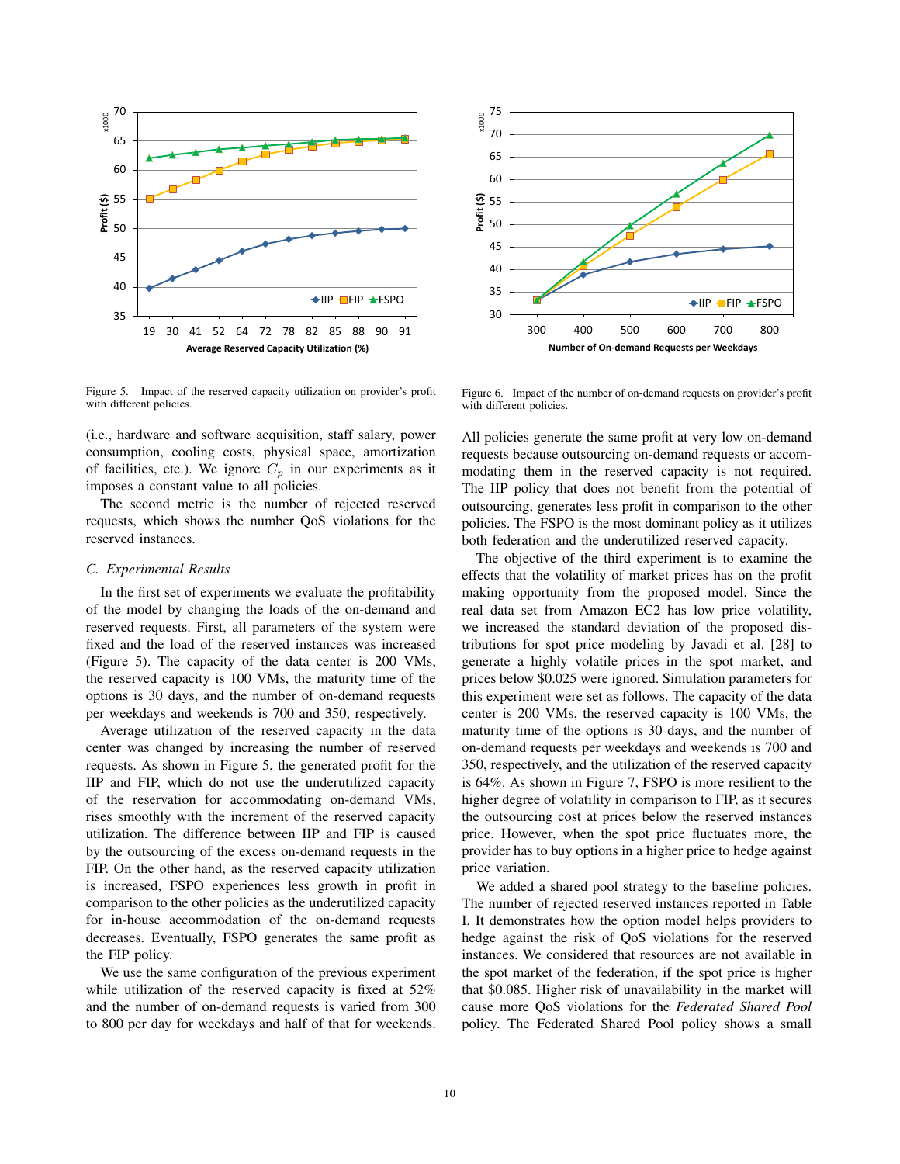

Figure 5. Impact of the reserved capacity utilization on provider's profit with different policies.

(i.e., hardware and software acquisition, staff salary, power consumption, cooling costs, physical space, amortization of facilities, etc.). We ignore  $C_p$  in our experiments as it imposes a constant value to all policies.

The second metric is the number of rejected reserved requests, which shows the number QoS violations for the reserved instances.

#### *C. Experimental Results*

In the first set of experiments we evaluate the profitability of the model by changing the loads of the on-demand and reserved requests. First, all parameters of the system were fixed and the load of the reserved instances was increased (Figure 5). The capacity of the data center is 200 VMs, the reserved capacity is 100 VMs, the maturity time of the options is 30 days, and the number of on-demand requests per weekdays and weekends is 700 and 350, respectively.

Average utilization of the reserved capacity in the data center was changed by increasing the number of reserved requests. As shown in Figure 5, the generated profit for the IIP and FIP, which do not use the underutilized capacity of the reservation for accommodating on-demand VMs, rises smoothly with the increment of the reserved capacity utilization. The difference between IIP and FIP is caused by the outsourcing of the excess on-demand requests in the FIP. On the other hand, as the reserved capacity utilization is increased, FSPO experiences less growth in profit in comparison to the other policies as the underutilized capacity for in-house accommodation of the on-demand requests decreases. Eventually, FSPO generates the same profit as the FIP policy.

We use the same configuration of the previous experiment while utilization of the reserved capacity is fixed at 52% and the number of on-demand requests is varied from 300 to 800 per day for weekdays and half of that for weekends.



Figure 6. Impact of the number of on-demand requests on provider's profit with different policies.

All policies generate the same profit at very low on-demand requests because outsourcing on-demand requests or accommodating them in the reserved capacity is not required. The IIP policy that does not benefit from the potential of outsourcing, generates less profit in comparison to the other policies. The FSPO is the most dominant policy as it utilizes both federation and the underutilized reserved capacity.

The objective of the third experiment is to examine the effects that the volatility of market prices has on the profit making opportunity from the proposed model. Since the real data set from Amazon EC2 has low price volatility, we increased the standard deviation of the proposed distributions for spot price modeling by Javadi et al. [28] to generate a highly volatile prices in the spot market, and prices below \$0.025 were ignored. Simulation parameters for this experiment were set as follows. The capacity of the data center is 200 VMs, the reserved capacity is 100 VMs, the maturity time of the options is 30 days, and the number of on-demand requests per weekdays and weekends is 700 and 350, respectively, and the utilization of the reserved capacity is 64%. As shown in Figure 7, FSPO is more resilient to the higher degree of volatility in comparison to FIP, as it secures the outsourcing cost at prices below the reserved instances price. However, when the spot price fluctuates more, the provider has to buy options in a higher price to hedge against price variation.

We added a shared pool strategy to the baseline policies. The number of rejected reserved instances reported in Table I. It demonstrates how the option model helps providers to hedge against the risk of QoS violations for the reserved instances. We considered that resources are not available in the spot market of the federation, if the spot price is higher that \$0.085. Higher risk of unavailability in the market will cause more QoS violations for the *Federated Shared Pool* policy. The Federated Shared Pool policy shows a small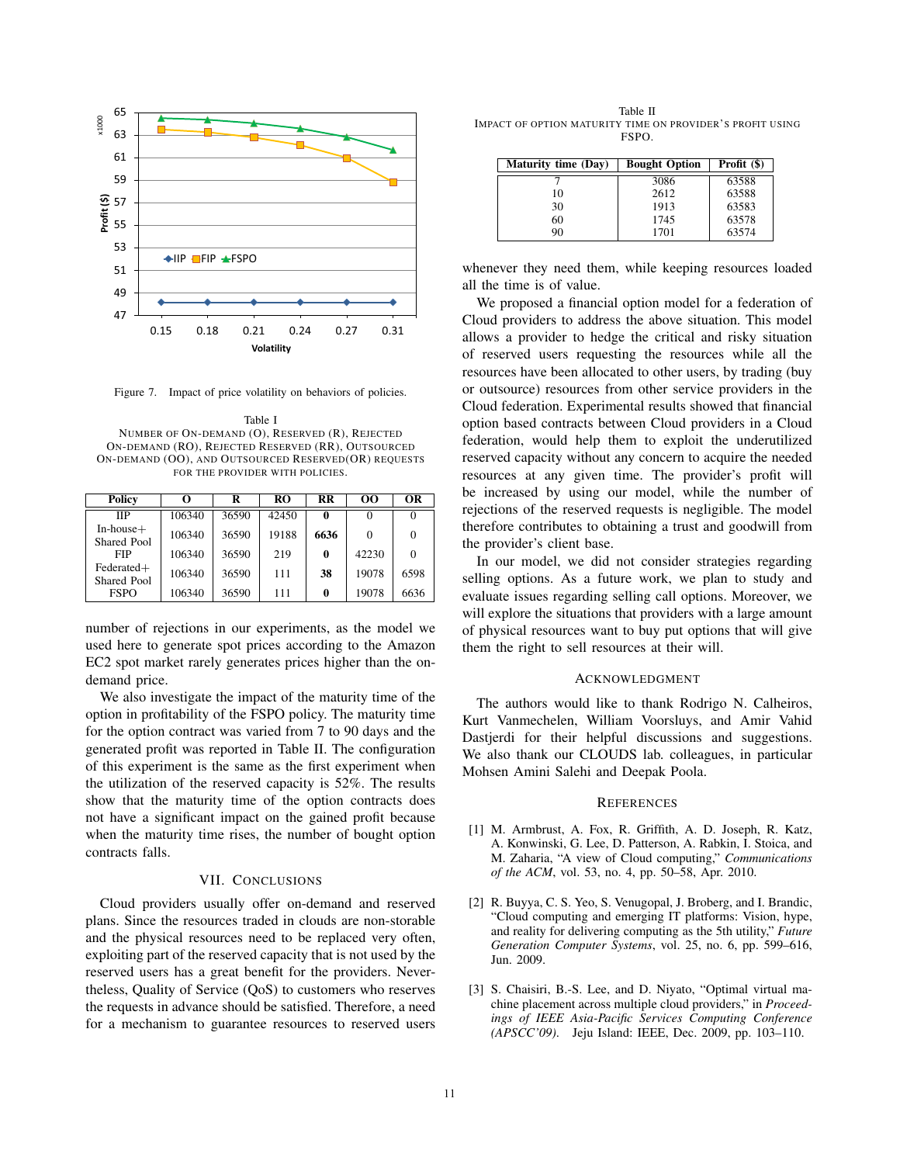

Figure 7. Impact of price volatility on behaviors of policies.

Table I NUMBER OF ON-DEMAND (O), RESERVED (R), REJECTED ON-DEMAND (RO), REJECTED RESERVED (RR), OUTSOURCED ON-DEMAND (OO), AND OUTSOURCED RESERVED(OR) REQUESTS FOR THE PROVIDER WITH POLICIES.

| Policy                         | 0      | R     | RO    | RR   | oo    | OR       |
|--------------------------------|--------|-------|-------|------|-------|----------|
| ПP                             | 106340 | 36590 | 42450 |      |       |          |
| $In$ -house $+$<br>Shared Pool | 106340 | 36590 | 19188 | 6636 | 0     | $\theta$ |
| <b>FIP</b>                     | 106340 | 36590 | 219   | 0    | 42230 | 0        |
| Federated+<br>Shared Pool      | 106340 | 36590 | 111   | 38   | 19078 | 6598     |
| <b>FSPO</b>                    | 106340 | 36590 | 111   | 0    | 19078 | 6636     |

number of rejections in our experiments, as the model we used here to generate spot prices according to the Amazon EC2 spot market rarely generates prices higher than the ondemand price.

We also investigate the impact of the maturity time of the option in profitability of the FSPO policy. The maturity time for the option contract was varied from 7 to 90 days and the generated profit was reported in Table II. The configuration of this experiment is the same as the first experiment when the utilization of the reserved capacity is 52%. The results show that the maturity time of the option contracts does not have a significant impact on the gained profit because when the maturity time rises, the number of bought option contracts falls.

### VII. CONCLUSIONS

Cloud providers usually offer on-demand and reserved plans. Since the resources traded in clouds are non-storable and the physical resources need to be replaced very often, exploiting part of the reserved capacity that is not used by the reserved users has a great benefit for the providers. Nevertheless, Quality of Service (QoS) to customers who reserves the requests in advance should be satisfied. Therefore, a need for a mechanism to guarantee resources to reserved users

Table II IMPACT OF OPTION MATURITY TIME ON PROVIDER'S PROFIT USING FSPO.

| <b>Maturity time (Day)</b> | <b>Bought Option</b> | Profit $(S)$ |
|----------------------------|----------------------|--------------|
|                            | 3086                 | 63588        |
| 10                         | 2612                 | 63588        |
| 30                         | 1913                 | 63583        |
| 60                         | 1745                 | 63578        |
|                            | 1701                 | 63574        |

whenever they need them, while keeping resources loaded all the time is of value.

We proposed a financial option model for a federation of Cloud providers to address the above situation. This model allows a provider to hedge the critical and risky situation of reserved users requesting the resources while all the resources have been allocated to other users, by trading (buy or outsource) resources from other service providers in the Cloud federation. Experimental results showed that financial option based contracts between Cloud providers in a Cloud federation, would help them to exploit the underutilized reserved capacity without any concern to acquire the needed resources at any given time. The provider's profit will be increased by using our model, while the number of rejections of the reserved requests is negligible. The model therefore contributes to obtaining a trust and goodwill from the provider's client base.

In our model, we did not consider strategies regarding selling options. As a future work, we plan to study and evaluate issues regarding selling call options. Moreover, we will explore the situations that providers with a large amount of physical resources want to buy put options that will give them the right to sell resources at their will.

## ACKNOWLEDGMENT

The authors would like to thank Rodrigo N. Calheiros, Kurt Vanmechelen, William Voorsluys, and Amir Vahid Dastjerdi for their helpful discussions and suggestions. We also thank our CLOUDS lab. colleagues, in particular Mohsen Amini Salehi and Deepak Poola.

#### **REFERENCES**

- [1] M. Armbrust, A. Fox, R. Griffith, A. D. Joseph, R. Katz, A. Konwinski, G. Lee, D. Patterson, A. Rabkin, I. Stoica, and M. Zaharia, "A view of Cloud computing," *Communications of the ACM*, vol. 53, no. 4, pp. 50–58, Apr. 2010.
- [2] R. Buyya, C. S. Yeo, S. Venugopal, J. Broberg, and I. Brandic, "Cloud computing and emerging IT platforms: Vision, hype, and reality for delivering computing as the 5th utility," *Future Generation Computer Systems*, vol. 25, no. 6, pp. 599–616, Jun. 2009.
- [3] S. Chaisiri, B.-S. Lee, and D. Niyato, "Optimal virtual machine placement across multiple cloud providers," in *Proceedings of IEEE Asia-Pacific Services Computing Conference (APSCC'09)*. Jeju Island: IEEE, Dec. 2009, pp. 103–110.